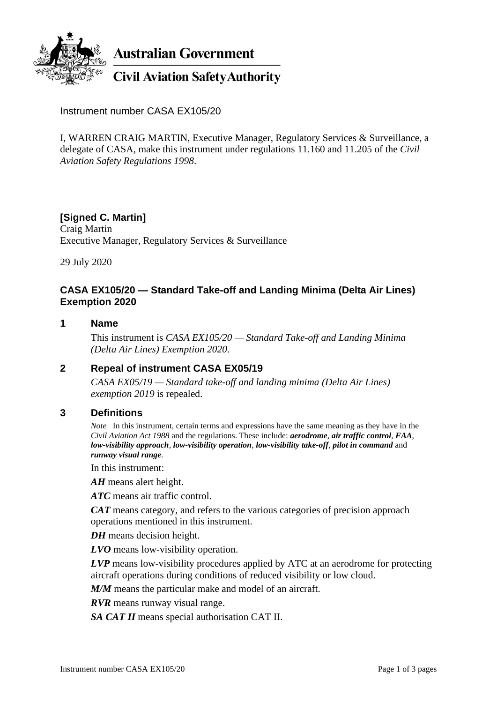

**Australian Government** 

**Civil Aviation Safety Authority** 

Instrument number CASA EX105/20

I, WARREN CRAIG MARTIN, Executive Manager, Regulatory Services & Surveillance, a delegate of CASA, make this instrument under regulations 11.160 and 11.205 of the *Civil Aviation Safety Regulations 1998*.

## **[Signed C. Martin]** Craig Martin Executive Manager, Regulatory Services & Surveillance

29 July 2020

## **CASA EX105/20 — Standard Take-off and Landing Minima (Delta Air Lines) Exemption 2020**

#### **1 Name**

This instrument is *CASA EX105/20 — Standard Take-off and Landing Minima (Delta Air Lines) Exemption 2020*.

## **2 Repeal of instrument CASA EX05/19**

*CASA EX05/19 — Standard take-off and landing minima (Delta Air Lines) exemption 2019* is repealed.

#### **3 Definitions**

*Note* In this instrument, certain terms and expressions have the same meaning as they have in the *Civil Aviation Act 1988* and the regulations. These include: *aerodrome*, *air traffic control*, *FAA*, *low-visibility approach*, *low-visibility operation*, *low-visibility take-off*, *pilot in command* and *runway visual range*.

In this instrument:

*AH* means alert height.

*ATC* means air traffic control.

*CAT* means category, and refers to the various categories of precision approach operations mentioned in this instrument.

*DH* means decision height.

*LVO* means low-visibility operation.

*LVP* means low-visibility procedures applied by ATC at an aerodrome for protecting aircraft operations during conditions of reduced visibility or low cloud.

*M/M* means the particular make and model of an aircraft.

*RVR* means runway visual range.

*SA CAT II* means special authorisation CAT II.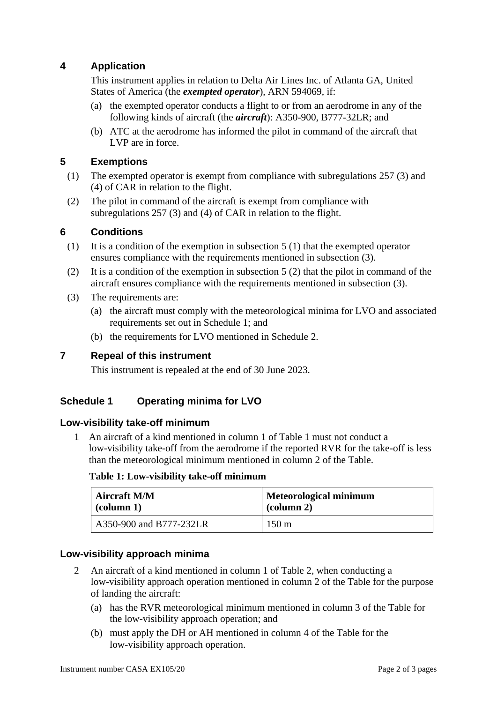# **4 Application**

This instrument applies in relation to Delta Air Lines Inc. of Atlanta GA, United States of America (the *exempted operator*), ARN 594069, if:

- (a) the exempted operator conducts a flight to or from an aerodrome in any of the following kinds of aircraft (the *aircraft*): A350-900, B777-32LR; and
- (b) ATC at the aerodrome has informed the pilot in command of the aircraft that LVP are in force.

# **5 Exemptions**

- (1) The exempted operator is exempt from compliance with subregulations 257 (3) and (4) of CAR in relation to the flight.
- (2) The pilot in command of the aircraft is exempt from compliance with subregulations 257 (3) and (4) of CAR in relation to the flight.

# **6 Conditions**

- (1) It is a condition of the exemption in subsection 5 (1) that the exempted operator ensures compliance with the requirements mentioned in subsection (3).
- (2) It is a condition of the exemption in subsection 5 (2) that the pilot in command of the aircraft ensures compliance with the requirements mentioned in subsection (3).
- (3) The requirements are:
	- (a) the aircraft must comply with the meteorological minima for LVO and associated requirements set out in Schedule 1; and
	- (b) the requirements for LVO mentioned in Schedule 2.

## **7 Repeal of this instrument**

This instrument is repealed at the end of 30 June 2023.

# **Schedule 1 Operating minima for LVO**

## **Low-visibility take-off minimum**

1 An aircraft of a kind mentioned in column 1 of Table 1 must not conduct a low-visibility take-off from the aerodrome if the reported RVR for the take-off is less than the meteorological minimum mentioned in column 2 of the Table.

#### **Table 1: Low-visibility take-off minimum**

| <b>Aircraft M/M</b>     | <b>Meteorological minimum</b> |
|-------------------------|-------------------------------|
| $\alpha$ (column 1)     | $\alpha$ (column 2)           |
| A350-900 and B777-232LR | $150 \text{ m}$               |

## **Low-visibility approach minima**

- 2 An aircraft of a kind mentioned in column 1 of Table 2, when conducting a low-visibility approach operation mentioned in column 2 of the Table for the purpose of landing the aircraft:
	- (a) has the RVR meteorological minimum mentioned in column 3 of the Table for the low-visibility approach operation; and
	- (b) must apply the DH or AH mentioned in column 4 of the Table for the low-visibility approach operation.